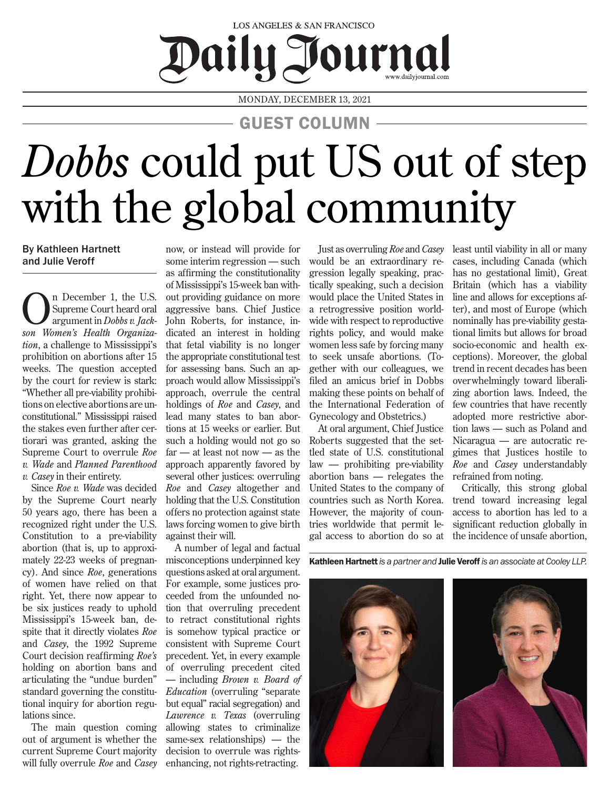## LOS ANGELES & SAN FRANCISCO Daily Journal

MONDAY, DECEMBER 13, 2021

GUEST COLUMN

## *Dobbs* could put US out of step with the global community

By Kathleen Hartnett and Julie Veroff

n December 1, the U.S. Supreme Court heard oral argument in *Dobbs v. Jackson Women's Health Organization*, a challenge to Mississippi's prohibition on abortions after 15 weeks. The question accepted by the court for review is stark: "Whether all pre-viability prohibitions on elective abortions are unconstitutional." Mississippi raised the stakes even further after certiorari was granted, asking the Supreme Court to overrule *Roe v. Wade* and *Planned Parenthood v. Casey* in their entirety.

Since *Roe v. Wade* was decided by the Supreme Court nearly 50 years ago, there has been a recognized right under the U.S. Constitution to a pre-viability abortion (that is, up to approximately 22-23 weeks of pregnancy). And since *Roe*, generations of women have relied on that right. Yet, there now appear to be six justices ready to uphold Mississippi's 15-week ban, despite that it directly violates *Roe* and *Casey*, the 1992 Supreme Court decision reaffirming *Roe's*  holding on abortion bans and articulating the "undue burden" standard governing the constitutional inquiry for abortion regulations since.

The main question coming out of argument is whether the current Supreme Court majority will fully overrule *Roe* and *Casey*

now, or instead will provide for some interim regression — such as affirming the constitutionality of Mississippi's 15-week ban without providing guidance on more aggressive bans. Chief Justice John Roberts, for instance, indicated an interest in holding that fetal viability is no longer the appropriate constitutional test for assessing bans. Such an approach would allow Mississippi's approach, overrule the central holdings of *Roe* and *Casey*, and lead many states to ban abortions at 15 weeks or earlier. But such a holding would not go so far — at least not now — as the approach apparently favored by several other justices: overruling *Roe* and *Casey* altogether and holding that the U.S. Constitution offers no protection against state laws forcing women to give birth against their will.

A number of legal and factual misconceptions underpinned key questions asked at oral argument. For example, some justices proceeded from the unfounded notion that overruling precedent to retract constitutional rights is somehow typical practice or consistent with Supreme Court precedent. Yet, in every example of overruling precedent cited — including *Brown v. Board of Education* (overruling "separate but equal" racial segregation) and *Lawrence v. Texas* (overruling allowing states to criminalize same-sex relationships) — the decision to overrule was rightsenhancing, not rights-retracting.

Just as overruling *Roe* and *Casey* would be an extraordinary regression legally speaking, practically speaking, such a decision would place the United States in a retrogressive position worldwide with respect to reproductive rights policy, and would make women less safe by forcing many to seek unsafe abortions. (Together with our colleagues, we filed an amicus brief in Dobbs making these points on behalf of the International Federation of Gynecology and Obstetrics.)

At oral argument, Chief Justice Roberts suggested that the settled state of U.S. constitutional law — prohibiting pre-viability abortion bans — relegates the United States to the company of countries such as North Korea. However, the majority of countries worldwide that permit legal access to abortion do so at least until viability in all or many cases, including Canada (which has no gestational limit), Great Britain (which has a viability line and allows for exceptions after), and most of Europe (which nominally has pre-viability gestational limits but allows for broad socio-economic and health exceptions). Moreover, the global trend in recent decades has been overwhelmingly toward liberalizing abortion laws. Indeed, the few countries that have recently adopted more restrictive abortion laws — such as Poland and Nicaragua — are autocratic regimes that Justices hostile to *Roe* and *Casey* understandably refrained from noting.

Critically, this strong global trend toward increasing legal access to abortion has led to a significant reduction globally in the incidence of unsafe abortion,

Kathleen Hartnett*is a partner and* Julie Veroff *is an associate at Cooley LLP.*